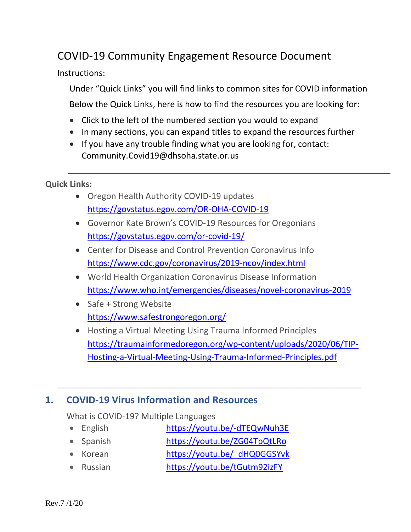# COVID-19 Community Engagement Resource Document

Instructions:

Under "Quick Links" you will find links to common sites for COVID information Below the Quick Links, here is how to find the resources you are looking for:

- Click to the left of the numbered section you would to expand
- In many sections, you can expand titles to expand the resources further
- If you have any trouble finding what you are looking for, contact: Community.Covid19@dhsoha.state.or.us

**Quick Links:**

- Oregon Health Authority COVID-19 updates <https://govstatus.egov.com/OR-OHA-COVID-19>
- Governor Kate Brown's COVID-19 Resources for Oregonians <https://govstatus.egov.com/or-covid-19/>
- Center for Disease and Control Prevention Coronavirus Info <https://www.cdc.gov/coronavirus/2019-ncov/index.html>
- World Health Organization Coronavirus Disease Information <https://www.who.int/emergencies/diseases/novel-coronavirus-2019>
- Safe + Strong Website <https://www.safestrongoregon.org/>
- Hosting a Virtual Meeting Using Trauma Informed Principles [https://traumainformedoregon.org/wp-content/uploads/2020/06/TIP-](https://traumainformedoregon.org/wp-content/uploads/2020/06/TIP-Hosting-a-Virtual-Meeting-Using-Trauma-Informed-Principles.pdf)[Hosting-a-Virtual-Meeting-Using-Trauma-Informed-Principles.pdf](https://traumainformedoregon.org/wp-content/uploads/2020/06/TIP-Hosting-a-Virtual-Meeting-Using-Trauma-Informed-Principles.pdf)

\_\_\_\_\_\_\_\_\_\_\_\_\_\_\_\_\_\_\_\_\_\_\_\_\_\_\_\_\_\_\_\_\_\_\_\_\_\_\_\_\_\_\_\_\_\_\_\_\_\_\_\_\_\_\_\_\_\_\_\_\_\_\_\_\_

#### **1. COVID-19 Virus Information and Resources**

What is COVID-19? Multiple Languages

- English <https://youtu.be/-dTEQwNuh3E>
- Spanish <https://youtu.be/ZG04TpQtLRo>
- Korean https://youtu.be/dHQ0GGSYvk
- Russian <https://youtu.be/tGutm92izFY>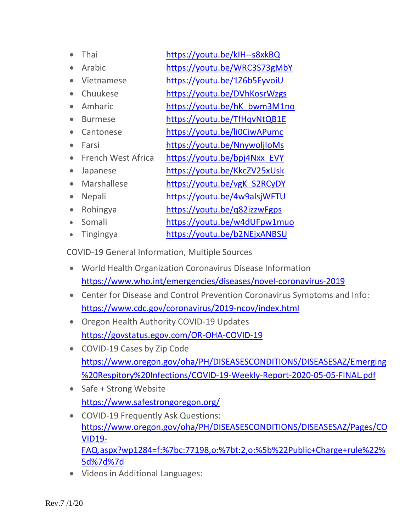| Thai               | https://youtu.be/kIH--s8xkBQ |
|--------------------|------------------------------|
| Arabic             | https://youtu.be/WRC3S73gMbY |
| Vietnamese         | https://youtu.be/1Z6b5EyvoiU |
| Chuukese           | https://youtu.be/DVhKosrWzgs |
| Amharic            | https://youtu.be/hK bwm3M1no |
| <b>Burmese</b>     | https://youtu.be/TfHqvNtQB1E |
| Cantonese          | https://youtu.be/li0CiwAPumc |
| Farsi              | https://youtu.be/NnywoljloMs |
| French West Africa | https://youtu.be/bpj4Nxx EVY |
| Japanese           | https://youtu.be/KkcZV25xUsk |
| Marshallese        | https://youtu.be/vgK S2RCyDY |
| <b>Nepali</b>      | https://youtu.be/4w9alsjWFTU |
| Rohingya           | https://youtu.be/g82izzwFgps |
| Somali             | https://youtu.be/w4dUFpw1muo |
|                    |                              |

• Tingingya <https://youtu.be/b2NEjxANBSU>

COVID-19 General Information, Multiple Sources

- World Health Organization Coronavirus Disease Information <https://www.who.int/emergencies/diseases/novel-coronavirus-2019>
- Center for Disease and Control Prevention Coronavirus Symptoms and Info: <https://www.cdc.gov/coronavirus/2019-ncov/index.html>
- Oregon Health Authority COVID-19 Updates <https://govstatus.egov.com/OR-OHA-COVID-19>
- COVID-19 Cases by Zip Code [https://www.oregon.gov/oha/PH/DISEASESCONDITIONS/DISEASESAZ/Emerging](https://www.oregon.gov/oha/PH/DISEASESCONDITIONS/DISEASESAZ/Emerging%20Respitory%20Infections/COVID-19-Weekly-Report-2020-05-05-FINAL.pdf) [%20Respitory%20Infections/COVID-19-Weekly-Report-2020-05-05-FINAL.pdf](https://www.oregon.gov/oha/PH/DISEASESCONDITIONS/DISEASESAZ/Emerging%20Respitory%20Infections/COVID-19-Weekly-Report-2020-05-05-FINAL.pdf)
- Safe + Strong Website <https://www.safestrongoregon.org/>
- COVID-19 Frequently Ask Questions: [https://www.oregon.gov/oha/PH/DISEASESCONDITIONS/DISEASESAZ/Pages/CO](https://www.oregon.gov/oha/PH/DISEASESCONDITIONS/DISEASESAZ/Pages/COVID19-FAQ.aspx?wp1284=f:%7bc:77198,o:%7bt:2,o:%5b%22Public+Charge+rule%22%5d%7d%7d) [VID19-](https://www.oregon.gov/oha/PH/DISEASESCONDITIONS/DISEASESAZ/Pages/COVID19-FAQ.aspx?wp1284=f:%7bc:77198,o:%7bt:2,o:%5b%22Public+Charge+rule%22%5d%7d%7d) [FAQ.aspx?wp1284=f:%7bc:77198,o:%7bt:2,o:%5b%22Public+Charge+rule%22%](https://www.oregon.gov/oha/PH/DISEASESCONDITIONS/DISEASESAZ/Pages/COVID19-FAQ.aspx?wp1284=f:%7bc:77198,o:%7bt:2,o:%5b%22Public+Charge+rule%22%5d%7d%7d) [5d%7d%7d](https://www.oregon.gov/oha/PH/DISEASESCONDITIONS/DISEASESAZ/Pages/COVID19-FAQ.aspx?wp1284=f:%7bc:77198,o:%7bt:2,o:%5b%22Public+Charge+rule%22%5d%7d%7d)
- Videos in Additional Languages: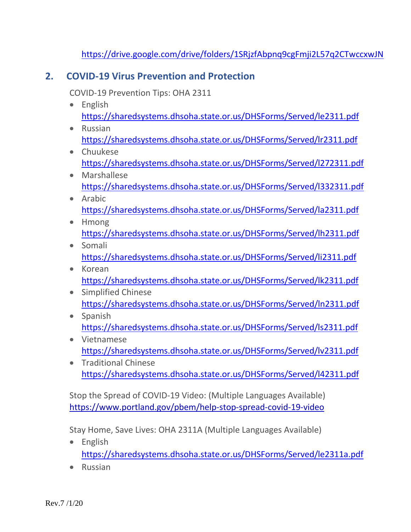<https://drive.google.com/drive/folders/1SRjzfAbpnq9cgFmji2L57q2CTwccxwJN>

#### **2. COVID-19 Virus Prevention and Protection**

COVID-19 Prevention Tips: OHA 2311

- English <https://sharedsystems.dhsoha.state.or.us/DHSForms/Served/le2311.pdf>
- Russian <https://sharedsystems.dhsoha.state.or.us/DHSForms/Served/lr2311.pdf>
- Chuukese <https://sharedsystems.dhsoha.state.or.us/DHSForms/Served/l272311.pdf>
- Marshallese <https://sharedsystems.dhsoha.state.or.us/DHSForms/Served/l332311.pdf>
- Arabic <https://sharedsystems.dhsoha.state.or.us/DHSForms/Served/la2311.pdf>
- Hmong <https://sharedsystems.dhsoha.state.or.us/DHSForms/Served/lh2311.pdf>
- Somali <https://sharedsystems.dhsoha.state.or.us/DHSForms/Served/li2311.pdf>
- Korean <https://sharedsystems.dhsoha.state.or.us/DHSForms/Served/lk2311.pdf>
- Simplified Chinese <https://sharedsystems.dhsoha.state.or.us/DHSForms/Served/ln2311.pdf>
- Spanish <https://sharedsystems.dhsoha.state.or.us/DHSForms/Served/ls2311.pdf>
- Vietnamese <https://sharedsystems.dhsoha.state.or.us/DHSForms/Served/lv2311.pdf>
- Traditional Chinese <https://sharedsystems.dhsoha.state.or.us/DHSForms/Served/l42311.pdf>

Stop the Spread of COVID-19 Video: (Multiple Languages Available) <https://www.portland.gov/pbem/help-stop-spread-covid-19-video>

Stay Home, Save Lives: OHA 2311A (Multiple Languages Available)

- English <https://sharedsystems.dhsoha.state.or.us/DHSForms/Served/le2311a.pdf>
- Russian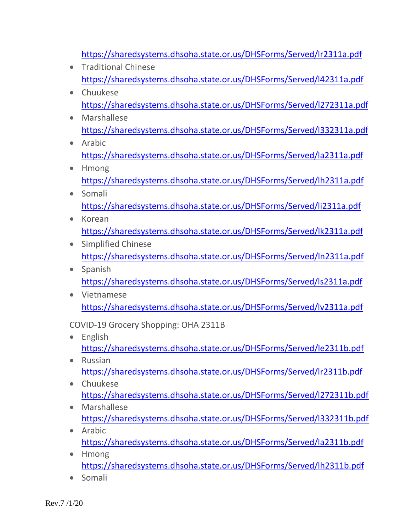<https://sharedsystems.dhsoha.state.or.us/DHSForms/Served/lr2311a.pdf>

- Traditional Chinese <https://sharedsystems.dhsoha.state.or.us/DHSForms/Served/l42311a.pdf>
- Chuukese <https://sharedsystems.dhsoha.state.or.us/DHSForms/Served/l272311a.pdf>
- Marshallese <https://sharedsystems.dhsoha.state.or.us/DHSForms/Served/l332311a.pdf>
- Arabic <https://sharedsystems.dhsoha.state.or.us/DHSForms/Served/la2311a.pdf>
- Hmong <https://sharedsystems.dhsoha.state.or.us/DHSForms/Served/lh2311a.pdf>
- Somali <https://sharedsystems.dhsoha.state.or.us/DHSForms/Served/li2311a.pdf>
- Korean <https://sharedsystems.dhsoha.state.or.us/DHSForms/Served/lk2311a.pdf>
- Simplified Chinese <https://sharedsystems.dhsoha.state.or.us/DHSForms/Served/ln2311a.pdf>
- Spanish <https://sharedsystems.dhsoha.state.or.us/DHSForms/Served/ls2311a.pdf>
- Vietnamese <https://sharedsystems.dhsoha.state.or.us/DHSForms/Served/lv2311a.pdf>

COVID-19 Grocery Shopping: OHA 2311B

- English <https://sharedsystems.dhsoha.state.or.us/DHSForms/Served/le2311b.pdf>
- Russian <https://sharedsystems.dhsoha.state.or.us/DHSForms/Served/lr2311b.pdf>
- Chuukese <https://sharedsystems.dhsoha.state.or.us/DHSForms/Served/l272311b.pdf>
- Marshallese <https://sharedsystems.dhsoha.state.or.us/DHSForms/Served/l332311b.pdf>
- Arabic <https://sharedsystems.dhsoha.state.or.us/DHSForms/Served/la2311b.pdf>
- Hmong <https://sharedsystems.dhsoha.state.or.us/DHSForms/Served/lh2311b.pdf>
- Somali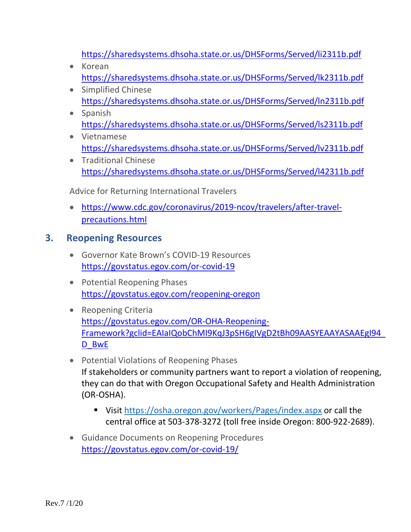<https://sharedsystems.dhsoha.state.or.us/DHSForms/Served/li2311b.pdf>

- Korean <https://sharedsystems.dhsoha.state.or.us/DHSForms/Served/lk2311b.pdf>
- Simplified Chinese <https://sharedsystems.dhsoha.state.or.us/DHSForms/Served/ln2311b.pdf>
- Spanish <https://sharedsystems.dhsoha.state.or.us/DHSForms/Served/ls2311b.pdf>
- Vietnamese <https://sharedsystems.dhsoha.state.or.us/DHSForms/Served/lv2311b.pdf>
- Traditional Chinese <https://sharedsystems.dhsoha.state.or.us/DHSForms/Served/l42311b.pdf>

Advice for Returning International Travelers

• [https://www.cdc.gov/coronavirus/2019-ncov/travelers/after-travel](https://www.cdc.gov/coronavirus/2019-ncov/travelers/after-travel-precautions.html)[precautions.html](https://www.cdc.gov/coronavirus/2019-ncov/travelers/after-travel-precautions.html)

### **3. Reopening Resources**

- Governor Kate Brown's COVID-19 Resources <https://govstatus.egov.com/or-covid-19>
- Potential Reopening Phases <https://govstatus.egov.com/reopening-oregon>
- Reopening Criteria [https://govstatus.egov.com/OR-OHA-Reopening-](https://govstatus.egov.com/OR-OHA-Reopening-Framework?gclid=EAIaIQobChMI9KqJ3pSH6gIVgD2tBh09AASYEAAYASAAEgI94_D_BwE)[Framework?gclid=EAIaIQobChMI9KqJ3pSH6gIVgD2tBh09AASYEAAYASAAEgI94\\_](https://govstatus.egov.com/OR-OHA-Reopening-Framework?gclid=EAIaIQobChMI9KqJ3pSH6gIVgD2tBh09AASYEAAYASAAEgI94_D_BwE) D BwE
- Potential Violations of Reopening Phases If stakeholders or community partners want to report a violation of reopening, they can do that with Oregon Occupational Safety and Health Administration (OR-OSHA).
	- Visit <https://osha.oregon.gov/workers/Pages/index.aspx> or call the central office at 503-378-3272 (toll free inside Oregon: 800-922-2689).
- Guidance Documents on Reopening Procedures <https://govstatus.egov.com/or-covid-19/>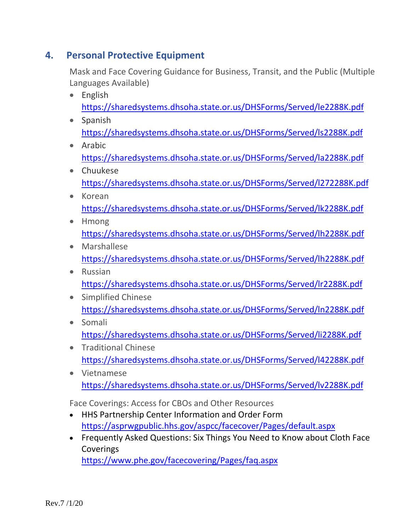### **4. Personal Protective Equipment**

Mask and Face Covering Guidance for Business, Transit, and the Public (Multiple Languages Available)

- English <https://sharedsystems.dhsoha.state.or.us/DHSForms/Served/le2288K.pdf>
- Spanish <https://sharedsystems.dhsoha.state.or.us/DHSForms/Served/ls2288K.pdf>
- Arabic <https://sharedsystems.dhsoha.state.or.us/DHSForms/Served/la2288K.pdf>
- Chuukese <https://sharedsystems.dhsoha.state.or.us/DHSForms/Served/l272288K.pdf>
- Korean <https://sharedsystems.dhsoha.state.or.us/DHSForms/Served/lk2288K.pdf>
- Hmong <https://sharedsystems.dhsoha.state.or.us/DHSForms/Served/lh2288K.pdf>
- Marshallese <https://sharedsystems.dhsoha.state.or.us/DHSForms/Served/lh2288K.pdf>
- Russian <https://sharedsystems.dhsoha.state.or.us/DHSForms/Served/lr2288K.pdf>
- Simplified Chinese <https://sharedsystems.dhsoha.state.or.us/DHSForms/Served/ln2288K.pdf>
- Somali <https://sharedsystems.dhsoha.state.or.us/DHSForms/Served/li2288K.pdf>
- Traditional Chinese <https://sharedsystems.dhsoha.state.or.us/DHSForms/Served/l42288K.pdf>
- Vietnamese <https://sharedsystems.dhsoha.state.or.us/DHSForms/Served/lv2288K.pdf>

Face Coverings: Access for CBOs and Other Resources

- HHS Partnership Center Information and Order Form <https://asprwgpublic.hhs.gov/aspcc/facecover/Pages/default.aspx>
- Frequently Asked Questions: Six Things You Need to Know about Cloth Face **Coverings** <https://www.phe.gov/facecovering/Pages/faq.aspx>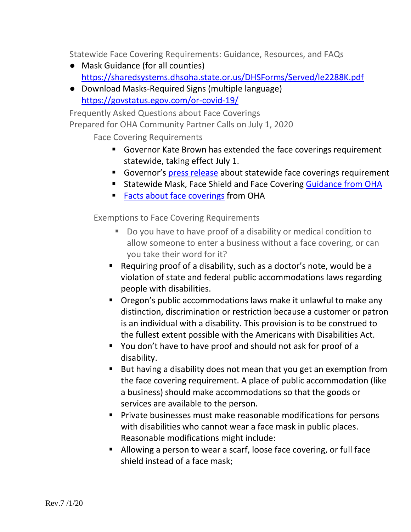Statewide Face Covering Requirements: Guidance, Resources, and FAQs

- Mask Guidance (for all counties) <https://sharedsystems.dhsoha.state.or.us/DHSForms/Served/le2288K.pdf>
- Download Masks-Required Signs (multiple language) <https://govstatus.egov.com/or-covid-19/>

Frequently Asked Questions about Face Coverings Prepared for OHA Community Partner Calls on July 1, 2020

Face Covering Requirements

- Governor Kate Brown has extended the face coverings requirement statewide, taking effect July 1.
- Governor's press release about statewide face coverings requirement
- Statewide Mask, Face Shield and Face Covering [Guidance from OHA](https://sharedsystems.dhsoha.state.or.us/DHSForms/Served/le2288K.pdf)
- **[Facts about face coverings](https://sharedsystems.dhsoha.state.or.us/DHSForms/Served/le2390L.pdf) from OHA**

Exemptions to Face Covering Requirements

- Do you have to have proof of a disability or medical condition to allow someone to enter a business without a face covering, or can you take their word for it?
- Requiring proof of a disability, such as a doctor's note, would be a violation of state and federal public accommodations laws regarding people with disabilities.
- Oregon's public accommodations laws make it unlawful to make any distinction, discrimination or restriction because a customer or patron is an individual with a disability. This provision is to be construed to the fullest extent possible with the Americans with Disabilities Act.
- You don't have to have proof and should not ask for proof of a disability.
- But having a disability does not mean that you get an exemption from the face covering requirement. A place of public accommodation (like a business) should make accommodations so that the goods or services are available to the person.
- **Private businesses must make reasonable modifications for persons** with disabilities who cannot wear a face mask in public places. Reasonable modifications might include:
- Allowing a person to wear a scarf, loose face covering, or full face shield instead of a face mask;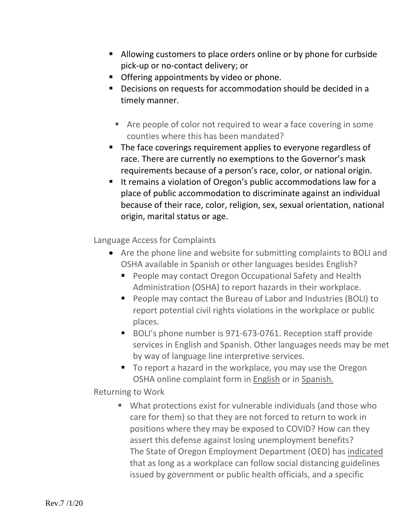- Allowing customers to place orders online or by phone for curbside pick-up or no-contact delivery; or
- **•** Offering appointments by video or phone.
- **•** Decisions on requests for accommodation should be decided in a timely manner.
	- Are people of color not required to wear a face covering in some counties where this has been mandated?
- The face coverings requirement applies to everyone regardless of race. There are currently no exemptions to the Governor's mask requirements because of a person's race, color, or national origin.
- It remains a violation of Oregon's public accommodations law for a place of public accommodation to discriminate against an individual because of their race, color, religion, sex, sexual orientation, national origin, marital status or age.

Language Access for Complaints

- Are the phone line and website for submitting complaints to BOLI and OSHA available in Spanish or other languages besides English?
	- **People may contact Oregon Occupational Safety and Health** Administration (OSHA) to report hazards in their workplace.
	- People may contact the Bureau of Labor and Industries (BOLI) to report potential civil rights violations in the workplace or public places.
	- BOLI's phone number is 971-673-0761. Reception staff provide services in English and Spanish. Other languages needs may be met by way of language line interpretive services.
	- To report a hazard in the workplace, you may use the Oregon OSHA online complaint form in [English](https://www4.cbs.state.or.us/exs/osha/hazrep/) or in [Spanish.](https://www4.cbs.state.or.us/exs/osha/hazrep/?language=es)

Returning to Work

 What protections exist for vulnerable individuals (and those who care for them) so that they are not forced to return to work in positions where they may be exposed to COVID? How can they assert this defense against losing unemployment benefits? The State of Oregon Employment Department (OED) has [indicated](https://www.oregon.gov/employ/Documents/Employer_Resuming_Operations-FAQs.pdf) that as long as a workplace can follow social distancing guidelines issued by government or public health officials, and a specific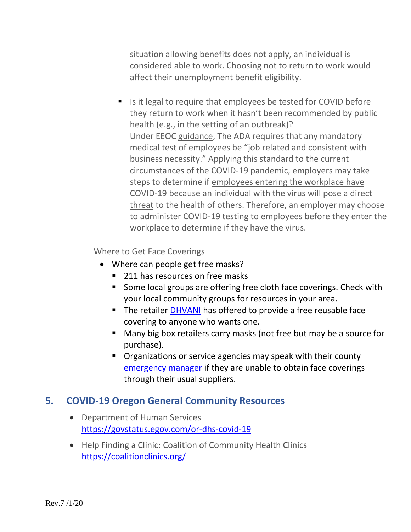situation allowing benefits does not apply, an individual is considered able to work. Choosing not to return to work would affect their unemployment benefit eligibility.

■ Is it legal to require that employees be tested for COVID before they return to work when it hasn't been recommended by public health (e.g., in the setting of an outbreak)? Under EEOC [guidance,](https://www.eeoc.gov/wysk/what-you-should-know-about-covid-19-and-ada-rehabilitation-act-and-other-eeo-laws) The ADA requires that any mandatory medical test of employees be "job related and consistent with business necessity." Applying this standard to the current circumstances of the COVID-19 pandemic, employers may take steps to determine if [employees entering the workplace have](https://www.eeoc.gov/wysk/what-you-should-know-about-covid-19-and-ada-rehabilitation-act-and-other-eeo-laws#A.2)  [COVID-19](https://www.eeoc.gov/wysk/what-you-should-know-about-covid-19-and-ada-rehabilitation-act-and-other-eeo-laws#A.2) because [an individual with the virus will pose a direct](https://www.eeoc.gov/transcript-march-27-2020-outreach-webinar#q1)  [threat](https://www.eeoc.gov/transcript-march-27-2020-outreach-webinar#q1) to the health of others. Therefore, an employer may choose to administer COVID-19 testing to employees before they enter the workplace to determine if they have the virus.

Where to Get Face Coverings

- Where can people get free masks?
	- 211 has resources on free masks
	- Some local groups are offering free cloth face coverings. Check with your local community groups for resources in your area.
	- The retailer [DHVANI](https://www.dhvani.com/pages/freemasks) has offered to provide a free reusable face covering to anyone who wants one.
	- Many big box retailers carry masks (not free but may be a source for purchase).
	- **Diamage 1** Organizations or service agencies may speak with their county [emergency manager](https://www.oregon.gov/oem/Documents/locals_list.pdf) if they are unable to obtain face coverings through their usual suppliers.

#### **5. COVID-19 Oregon General Community Resources**

- Department of Human Services <https://govstatus.egov.com/or-dhs-covid-19>
- Help Finding a Clinic: Coalition of Community Health Clinics <https://coalitionclinics.org/>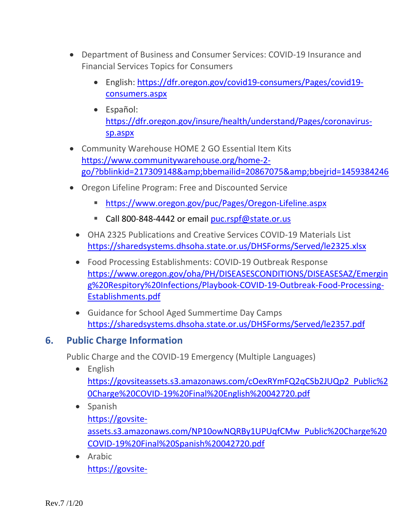- Department of Business and Consumer Services: COVID-19 Insurance and Financial Services Topics for Consumers
	- English: [https://dfr.oregon.gov/covid19-consumers/Pages/covid19](https://dfr.oregon.gov/covid19-consumers/Pages/covid19-consumers.aspx) [consumers.aspx](https://dfr.oregon.gov/covid19-consumers/Pages/covid19-consumers.aspx)
	- Español: [https://dfr.oregon.gov/insure/health/understand/Pages/coronavirus](https://dfr.oregon.gov/insure/health/understand/Pages/coronavirus-sp.aspx)[sp.aspx](https://dfr.oregon.gov/insure/health/understand/Pages/coronavirus-sp.aspx)
- Community Warehouse HOME 2 GO Essential Item Kits [https://www.communitywarehouse.org/home-2](https://www.communitywarehouse.org/home-2-go/?bblinkid=217309148&bbemailid=20867075&bbejrid=1459384246) [go/?bblinkid=217309148&bbemailid=20867075&bbejrid=1459384246](https://www.communitywarehouse.org/home-2-go/?bblinkid=217309148&bbemailid=20867075&bbejrid=1459384246)
- Oregon Lifeline Program: Free and Discounted Service
	- <https://www.oregon.gov/puc/Pages/Oregon-Lifeline.aspx>
	- Call 800-848-4442 or email [puc.rspf@state.or.us](mailto:puc.rspf@state.or.us)
	- OHA 2325 Publications and Creative Services COVID-19 Materials List <https://sharedsystems.dhsoha.state.or.us/DHSForms/Served/le2325.xlsx>
	- Food Processing Establishments: COVID-19 Outbreak Response [https://www.oregon.gov/oha/PH/DISEASESCONDITIONS/DISEASESAZ/Emergin](https://www.oregon.gov/oha/PH/DISEASESCONDITIONS/DISEASESAZ/Emerging%20Respitory%20Infections/Playbook-COVID-19-Outbreak-Food-Processing-Establishments.pdf) [g%20Respitory%20Infections/Playbook-COVID-19-Outbreak-Food-Processing-](https://www.oregon.gov/oha/PH/DISEASESCONDITIONS/DISEASESAZ/Emerging%20Respitory%20Infections/Playbook-COVID-19-Outbreak-Food-Processing-Establishments.pdf)[Establishments.pdf](https://www.oregon.gov/oha/PH/DISEASESCONDITIONS/DISEASESAZ/Emerging%20Respitory%20Infections/Playbook-COVID-19-Outbreak-Food-Processing-Establishments.pdf)
	- Guidance for School Aged Summertime Day Camps <https://sharedsystems.dhsoha.state.or.us/DHSForms/Served/le2357.pdf>

#### **6. Public Charge Information**

Public Charge and the COVID-19 Emergency (Multiple Languages)

- English [https://govsiteassets.s3.amazonaws.com/cOexRYmFQ2qCSb2JUQp2\\_Public%2](https://govsiteassets.s3.amazonaws.com/cOexRYmFQ2qCSb2JUQp2_Public%20Charge%20COVID-19%20Final%20English%20042720.pdf) [0Charge%20COVID-19%20Final%20English%20042720.pdf](https://govsiteassets.s3.amazonaws.com/cOexRYmFQ2qCSb2JUQp2_Public%20Charge%20COVID-19%20Final%20English%20042720.pdf)
- Spanish [https://govsite](https://govsite-assets.s3.amazonaws.com/NP10owNQRBy1UPUqfCMw_Public%20Charge%20COVID-19%20Final%20Spanish%20042720.pdf)[assets.s3.amazonaws.com/NP10owNQRBy1UPUqfCMw\\_Public%20Charge%20](https://govsite-assets.s3.amazonaws.com/NP10owNQRBy1UPUqfCMw_Public%20Charge%20COVID-19%20Final%20Spanish%20042720.pdf) [COVID-19%20Final%20Spanish%20042720.pdf](https://govsite-assets.s3.amazonaws.com/NP10owNQRBy1UPUqfCMw_Public%20Charge%20COVID-19%20Final%20Spanish%20042720.pdf)
- Arabic [https://govsite-](https://govsite-assets.s3.amazonaws.com/MfDIE9XT0ivmPlGJutDo_Public%20Charge%20COVID-19%20Final%20Arabic%20042720.pdf)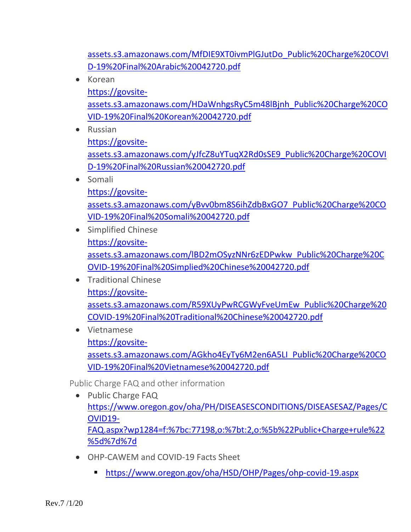[assets.s3.amazonaws.com/MfDIE9XT0ivmPlGJutDo\\_Public%20Charge%20COVI](https://govsite-assets.s3.amazonaws.com/MfDIE9XT0ivmPlGJutDo_Public%20Charge%20COVID-19%20Final%20Arabic%20042720.pdf) [D-19%20Final%20Arabic%20042720.pdf](https://govsite-assets.s3.amazonaws.com/MfDIE9XT0ivmPlGJutDo_Public%20Charge%20COVID-19%20Final%20Arabic%20042720.pdf)

- Korean [https://govsite](https://govsite-assets.s3.amazonaws.com/HDaWnhgsRyC5m48lBjnh_Public%20Charge%20COVID-19%20Final%20Korean%20042720.pdf)[assets.s3.amazonaws.com/HDaWnhgsRyC5m48lBjnh\\_Public%20Charge%20CO](https://govsite-assets.s3.amazonaws.com/HDaWnhgsRyC5m48lBjnh_Public%20Charge%20COVID-19%20Final%20Korean%20042720.pdf) [VID-19%20Final%20Korean%20042720.pdf](https://govsite-assets.s3.amazonaws.com/HDaWnhgsRyC5m48lBjnh_Public%20Charge%20COVID-19%20Final%20Korean%20042720.pdf)
- Russian

[https://govsite-](https://govsite-assets.s3.amazonaws.com/yJfcZ8uYTuqX2Rd0sSE9_Public%20Charge%20COVID-19%20Final%20Russian%20042720.pdf)

[assets.s3.amazonaws.com/yJfcZ8uYTuqX2Rd0sSE9\\_Public%20Charge%20COVI](https://govsite-assets.s3.amazonaws.com/yJfcZ8uYTuqX2Rd0sSE9_Public%20Charge%20COVID-19%20Final%20Russian%20042720.pdf) [D-19%20Final%20Russian%20042720.pdf](https://govsite-assets.s3.amazonaws.com/yJfcZ8uYTuqX2Rd0sSE9_Public%20Charge%20COVID-19%20Final%20Russian%20042720.pdf)

• Somali

[https://govsite](https://govsite-assets.s3.amazonaws.com/yBvv0bm8S6ihZdbBxGO7_Public%20Charge%20COVID-19%20Final%20Somali%20042720.pdf)[assets.s3.amazonaws.com/yBvv0bm8S6ihZdbBxGO7\\_Public%20Charge%20CO](https://govsite-assets.s3.amazonaws.com/yBvv0bm8S6ihZdbBxGO7_Public%20Charge%20COVID-19%20Final%20Somali%20042720.pdf) [VID-19%20Final%20Somali%20042720.pdf](https://govsite-assets.s3.amazonaws.com/yBvv0bm8S6ihZdbBxGO7_Public%20Charge%20COVID-19%20Final%20Somali%20042720.pdf)

- Simplified Chinese [https://govsite](https://govsite-assets.s3.amazonaws.com/lBD2mOSyzNNr6zEDPwkw_Public%20Charge%20COVID-19%20Final%20Simplied%20Chinese%20042720.pdf)[assets.s3.amazonaws.com/lBD2mOSyzNNr6zEDPwkw\\_Public%20Charge%20C](https://govsite-assets.s3.amazonaws.com/lBD2mOSyzNNr6zEDPwkw_Public%20Charge%20COVID-19%20Final%20Simplied%20Chinese%20042720.pdf) [OVID-19%20Final%20Simplied%20Chinese%20042720.pdf](https://govsite-assets.s3.amazonaws.com/lBD2mOSyzNNr6zEDPwkw_Public%20Charge%20COVID-19%20Final%20Simplied%20Chinese%20042720.pdf)
- Traditional Chinese [https://govsite](https://govsite-assets.s3.amazonaws.com/R59XUyPwRCGWyFveUmEw_Public%20Charge%20COVID-19%20Final%20Traditional%20Chinese%20042720.pdf)[assets.s3.amazonaws.com/R59XUyPwRCGWyFveUmEw\\_Public%20Charge%20](https://govsite-assets.s3.amazonaws.com/R59XUyPwRCGWyFveUmEw_Public%20Charge%20COVID-19%20Final%20Traditional%20Chinese%20042720.pdf) [COVID-19%20Final%20Traditional%20Chinese%20042720.pdf](https://govsite-assets.s3.amazonaws.com/R59XUyPwRCGWyFveUmEw_Public%20Charge%20COVID-19%20Final%20Traditional%20Chinese%20042720.pdf)
- Vietnamese

[https://govsite](https://govsite-assets.s3.amazonaws.com/AGkho4EyTy6M2en6A5LI_Public%20Charge%20COVID-19%20Final%20Vietnamese%20042720.pdf)[assets.s3.amazonaws.com/AGkho4EyTy6M2en6A5LI\\_Public%20Charge%20CO](https://govsite-assets.s3.amazonaws.com/AGkho4EyTy6M2en6A5LI_Public%20Charge%20COVID-19%20Final%20Vietnamese%20042720.pdf)

[VID-19%20Final%20Vietnamese%20042720.pdf](https://govsite-assets.s3.amazonaws.com/AGkho4EyTy6M2en6A5LI_Public%20Charge%20COVID-19%20Final%20Vietnamese%20042720.pdf)

Public Charge FAQ and other information

- Public Charge FAQ [https://www.oregon.gov/oha/PH/DISEASESCONDITIONS/DISEASESAZ/Pages/C](https://www.oregon.gov/oha/PH/DISEASESCONDITIONS/DISEASESAZ/Pages/COVID19-FAQ.aspx?wp1284=f:%7bc:77198,o:%7bt:2,o:%5b%22Public+Charge+rule%22%5d%7d%7d) [OVID19-](https://www.oregon.gov/oha/PH/DISEASESCONDITIONS/DISEASESAZ/Pages/COVID19-FAQ.aspx?wp1284=f:%7bc:77198,o:%7bt:2,o:%5b%22Public+Charge+rule%22%5d%7d%7d) [FAQ.aspx?wp1284=f:%7bc:77198,o:%7bt:2,o:%5b%22Public+Charge+rule%22](https://www.oregon.gov/oha/PH/DISEASESCONDITIONS/DISEASESAZ/Pages/COVID19-FAQ.aspx?wp1284=f:%7bc:77198,o:%7bt:2,o:%5b%22Public+Charge+rule%22%5d%7d%7d) [%5d%7d%7d](https://www.oregon.gov/oha/PH/DISEASESCONDITIONS/DISEASESAZ/Pages/COVID19-FAQ.aspx?wp1284=f:%7bc:77198,o:%7bt:2,o:%5b%22Public+Charge+rule%22%5d%7d%7d)
- OHP-CAWEM and COVID-19 Facts Sheet
	- <https://www.oregon.gov/oha/HSD/OHP/Pages/ohp-covid-19.aspx>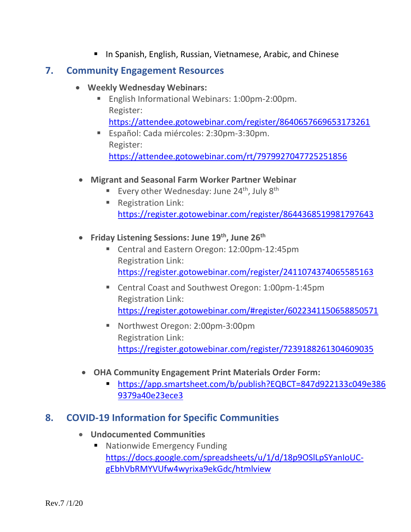**In Spanish, English, Russian, Vietnamese, Arabic, and Chinese** 

#### **7. Community Engagement Resources**

- **Weekly Wednesday Webinars:**
	- English Informational Webinars: 1:00pm-2:00pm. Register: <https://attendee.gotowebinar.com/register/8640657669653173261>
	- Español: Cada miércoles: 2:30pm-3:30pm. Register: <https://attendee.gotowebinar.com/rt/7979927047725251856>
- **Migrant and Seasonal Farm Worker Partner Webinar**
	- Every other Wednesday: June 24<sup>th</sup>, July 8<sup>th</sup>
	- **Registration Link:** <https://register.gotowebinar.com/register/8644368519981797643>
- **Friday Listening Sessions: June 19th, June 26th**
	- Central and Eastern Oregon: 12:00pm-12:45pm Registration Link: <https://register.gotowebinar.com/register/2411074374065585163>
	- Central Coast and Southwest Oregon: 1:00pm-1:45pm Registration Link: <https://register.gotowebinar.com/#register/6022341150658850571>
	- Northwest Oregon: 2:00pm-3:00pm Registration Link: <https://register.gotowebinar.com/register/7239188261304609035>
- **OHA Community Engagement Print Materials Order Form:**
	- [https://app.smartsheet.com/b/publish?EQBCT=847d922133c049e386](https://app.smartsheet.com/b/publish?EQBCT=847d922133c049e3869379a40e23ece3) [9379a40e23ece3](https://app.smartsheet.com/b/publish?EQBCT=847d922133c049e3869379a40e23ece3)

# **8. COVID-19 Information for Specific Communities**

- **Undocumented Communities**
	- Nationwide Emer[g](https://docs.google.com/spreadsheets/u/1/d/18p9OSlLpSYanIoUC-gEbhVbRMYVUfw4wyrixa9ekGdc/htmlview)ency Funding [https://docs.google.com/spreadsheets/u/1/d/18p9OSlLpSYanIoUC](https://docs.google.com/spreadsheets/u/1/d/18p9OSlLpSYanIoUC-gEbhVbRMYVUfw4wyrixa9ekGdc/htmlview)[gEbhVbRMYVUfw4wyrixa9ekGdc/htmlview](https://docs.google.com/spreadsheets/u/1/d/18p9OSlLpSYanIoUC-gEbhVbRMYVUfw4wyrixa9ekGdc/htmlview)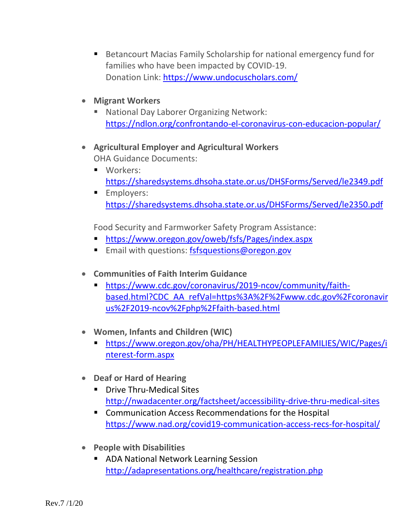- Betancourt Macias Family Scholarship for national emergency fund for families who have been impacted by COVID-19. Donation Link:<https://www.undocuscholars.com/>
- **Migrant Workers**
	- National Day Laborer Organizing Network: <https://ndlon.org/confrontando-el-coronavirus-con-educacion-popular/>
- **Agricultural Employer and Agricultural Workers** OHA Guidance Documents:
	- **Norkers:** <https://sharedsystems.dhsoha.state.or.us/DHSForms/Served/le2349.pdf>
	- **Employers:** <https://sharedsystems.dhsoha.state.or.us/DHSForms/Served/le2350.pdf>

Food Security and Farmworker Safety Program Assistance:

- <https://www.oregon.gov/oweb/fsfs/Pages/index.aspx>
- **Email with questions: [fsfsquestions@oregon.gov](mailto:fsfsquestions@oregon.gov)**
- **Communities of Faith Interim Guidance**
	- [https://www.cdc.gov/coronavirus/2019-ncov/community/faith](https://www.cdc.gov/coronavirus/2019-ncov/community/faith-based.html?CDC_AA_refVal=https%3A%2F%2Fwww.cdc.gov%2Fcoronavirus%2F2019-ncov%2Fphp%2Ffaith-based.html)[based.html?CDC\\_AA\\_refVal=https%3A%2F%2Fwww.cdc.gov%2Fcoronavir](https://www.cdc.gov/coronavirus/2019-ncov/community/faith-based.html?CDC_AA_refVal=https%3A%2F%2Fwww.cdc.gov%2Fcoronavirus%2F2019-ncov%2Fphp%2Ffaith-based.html) [us%2F2019-ncov%2Fphp%2Ffaith-based.html](https://www.cdc.gov/coronavirus/2019-ncov/community/faith-based.html?CDC_AA_refVal=https%3A%2F%2Fwww.cdc.gov%2Fcoronavirus%2F2019-ncov%2Fphp%2Ffaith-based.html)
- **Women, Infants and Children (WIC)** 
	- [https://www.oregon.gov/oha/PH/HEALTHYPEOPLEFAMILIES/WIC/Pages/i](https://www.oregon.gov/oha/PH/HEALTHYPEOPLEFAMILIES/WIC/Pages/interest-form.aspx) [nterest-form.aspx](https://www.oregon.gov/oha/PH/HEALTHYPEOPLEFAMILIES/WIC/Pages/interest-form.aspx)
- **Deaf or Hard of Hearing**
	- **•** Drive Thru-Medical Sites <http://nwadacenter.org/factsheet/accessibility-drive-thru-medical-sites>
	- **E** Communication Access Recommendations for the Hospital <https://www.nad.org/covid19-communication-access-recs-for-hospital/>
- **People with Disabilities**
	- **ADA National Network Learning Session** <http://adapresentations.org/healthcare/registration.php>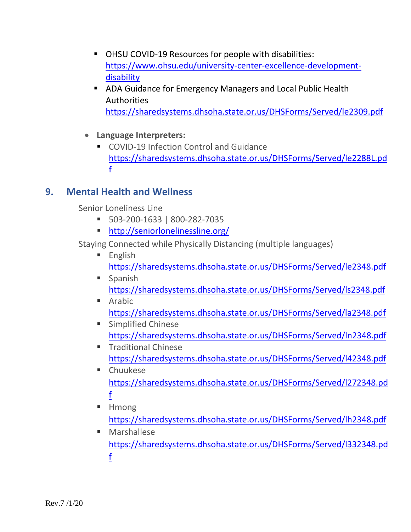- OHSU COVID-19 Resources for people with disabilities: [https://www.ohsu.edu/university-center-excellence-development](https://www.ohsu.edu/university-center-excellence-development-disability)[disability](https://www.ohsu.edu/university-center-excellence-development-disability)
- ADA Guidance for Emergency Managers and Local Public Health Authorities <https://sharedsystems.dhsoha.state.or.us/DHSForms/Served/le2309.pdf>
- **Language Interpreters:** 
	- COVID-19 Infection Control and Guidance [https://sharedsystems.dhsoha.state.or.us/DHSForms/Served/le2288L.pd](https://sharedsystems.dhsoha.state.or.us/DHSForms/Served/le2288L.pdf) [f](https://sharedsystems.dhsoha.state.or.us/DHSForms/Served/le2288L.pdf)

# **9. Mental Health and Wellness**

Senior Loneliness Line

- 503-200-1633 | 800-282-7035
- <http://seniorlonelinessline.org/>

Staying Connected while Physically Distancing (multiple languages)

- $\blacksquare$  English <https://sharedsystems.dhsoha.state.or.us/DHSForms/Served/le2348.pdf>
- **Spanish** <https://sharedsystems.dhsoha.state.or.us/DHSForms/Served/ls2348.pdf>
- **Arabic** <https://sharedsystems.dhsoha.state.or.us/DHSForms/Served/la2348.pdf>
- **Simplified Chinese** <https://sharedsystems.dhsoha.state.or.us/DHSForms/Served/ln2348.pdf>
- **Traditional Chinese** <https://sharedsystems.dhsoha.state.or.us/DHSForms/Served/l42348.pdf>
- **E** Chuukese [https://sharedsystems.dhsoha.state.or.us/DHSForms/Served/l272348.pd](https://sharedsystems.dhsoha.state.or.us/DHSForms/Served/l272348.pdf) [f](https://sharedsystems.dhsoha.state.or.us/DHSForms/Served/l272348.pdf)
- **Hmong** <https://sharedsystems.dhsoha.state.or.us/DHSForms/Served/lh2348.pdf>
- **Marshallese** [https://sharedsystems.dhsoha.state.or.us/DHSForms/Served/l332348.pd](https://sharedsystems.dhsoha.state.or.us/DHSForms/Served/l332348.pdf) [f](https://sharedsystems.dhsoha.state.or.us/DHSForms/Served/l332348.pdf)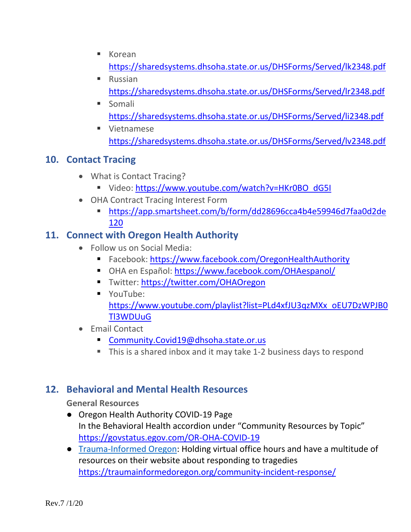- $\blacksquare$  Korean <https://sharedsystems.dhsoha.state.or.us/DHSForms/Served/lk2348.pdf>
- **Russian** <https://sharedsystems.dhsoha.state.or.us/DHSForms/Served/lr2348.pdf>
- **Somali** <https://sharedsystems.dhsoha.state.or.us/DHSForms/Served/li2348.pdf>
- **Uietnamese** <https://sharedsystems.dhsoha.state.or.us/DHSForms/Served/lv2348.pdf>

# **10. Contact Tracing**

- What is Contact Tracing?
	- Video: [https://www.youtube.com/watch?v=HKr0BO\\_dG5I](https://www.youtube.com/watch?v=HKr0BO_dG5I)
- OHA Contract Tracing Interest Form
	- [https://app.smartsheet.com/b/form/dd28696cca4b4e59946d7faa0d2de](https://app.smartsheet.com/b/form/dd28696cca4b4e59946d7faa0d2de120) [120](https://app.smartsheet.com/b/form/dd28696cca4b4e59946d7faa0d2de120)

# **11. Connect with Oregon Health Authority**

- Follow us on Social Media:
	- Facebook:<https://www.facebook.com/OregonHealthAuthority>
	- OHA en Español:<https://www.facebook.com/OHAespanol/>
	- Twitter:<https://twitter.com/OHAOregon>
	- **YouTube:** [https://www.youtube.com/playlist?list=PLd4xfJU3qzMXx\\_oEU7DzWPJB0](https://www.youtube.com/playlist?list=PLd4xfJU3qzMXx_oEU7DzWPJB0Tl3WDUuG) [Tl3WDUuG](https://www.youtube.com/playlist?list=PLd4xfJU3qzMXx_oEU7DzWPJB0Tl3WDUuG)
- Email Contact
	- [Community.Covid19@dhsoha.state.or.us](mailto:Community.Covid19@dhsoha.state.or.us)
	- This is a shared inbox and it may take 1-2 business days to respond

# **12. Behavioral and Mental Health Resources**

#### **General Resources**

- Oregon Health Authority COVID-19 Page In the Behavioral Health accordion under "Community Resources by Topic" <https://govstatus.egov.com/OR-OHA-COVID-19>
- [Trauma-Informed Oregon:](https://urldefense.proofpoint.com/v2/url?u=https-3A__traumainformedoregon.org_community-2Dincident-2Dresponse_&d=DwMGaQ&c=7gilq_oJKU2hnacFUWFTuYqjMQ111TRstgx6WoATdXo&r=87pDmk8FxN_alyz8CGZBdRfW-SLV0wN2jbe2r5bXGwLNDVSHaRpCJOyDrSmkUSgY&m=wxA166m4HAZ6DYC5hpJO4OFsHonhCm5S3yoagu8WyLs&s=TuID2_pxJwatYq_F-tIuS8d8B0l3zYBBdtJRB9ZvKoI&e=) Holding virtual office hours and have a multitude of resources on their website about responding to tragedies <https://traumainformedoregon.org/community-incident-response/>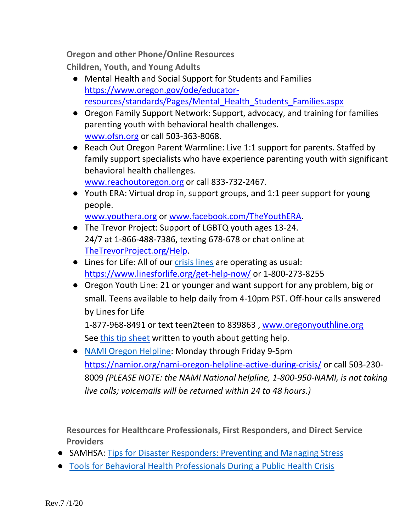**Oregon and other Phone/Online Resources**

**Children, Youth, and Young Adults**

- Mental Health and Social Support for Students and Families [https://www.oregon.gov/ode/educator](https://www.oregon.gov/ode/educator-resources/standards/Pages/Mental_Health_Students_Families.aspx)[resources/standards/Pages/Mental\\_Health\\_Students\\_Families.aspx](https://www.oregon.gov/ode/educator-resources/standards/Pages/Mental_Health_Students_Families.aspx)
- Oregon Family Support Network: Support, advocacy, and training for families parenting youth with behavioral health challenges. [www.ofsn.org](http://www.ofsn.org/) or call 503-363-8068.
- Reach Out Oregon Parent Warmline: Live 1:1 support for parents. Staffed by family support specialists who have experience parenting youth with significant behavioral health challenges.

[www.reachoutoregon.org](http://www.reachoutoregon.org/) or call 833-732-2467.

● Youth ERA: Virtual drop in, support groups, and 1:1 peer support for young people.

[www.youthera.org](http://www.youthera.org/) or [www.facebook.com/TheYouthERA.](http://www.facebook.com/TheYouthERA/)

- The Trevor Project: Support of LGBTQ youth ages 13-24. 24/7 at 1-866-488-7386, texting 678-678 or chat online at [TheTrevorProject.org/Help.](http://www.thetrevorproject.org/Help)
- Lines for Life: All of our [crisis lines](https://urldefense.proofpoint.com/v2/url?u=https-3A__www.linesforlife.org_get-2Dhelp-2Dnow_&d=DwMGaQ&c=7gilq_oJKU2hnacFUWFTuYqjMQ111TRstgx6WoATdXo&r=87pDmk8FxN_alyz8CGZBdRfW-SLV0wN2jbe2r5bXGwLNDVSHaRpCJOyDrSmkUSgY&m=wxA166m4HAZ6DYC5hpJO4OFsHonhCm5S3yoagu8WyLs&s=KjdVsdV5LMU4q5sbI1Hp3r4a8zR7pRURjBJGYpYPk2Q&e=) are operating as usual: <https://www.linesforlife.org/get-help-now/> or 1-800-273-8255
- Oregon Youth Line: 21 or younger and want support for any problem, big or small. Teens available to help daily from 4-10pm PST. Off-hour calls answered by Lines for Life

1-877-968-8491 or text teen2teen to 839863 , [www.oregonyouthline.org](http://www.oregonyouthline.org/) See [this tip sheet](https://szj5116h0mn2ruw333ci1zz5-wpengine.netdna-ssl.com/wp-content/uploads/2020/03/2020-YL-COVID-19.pdf) written to youth about getting help.

● [NAMI Oregon Helpline:](https://urldefense.proofpoint.com/v2/url?u=https-3A__namior.org_nami-2Doregon-2Dhelpline-2Dactive-2Dduring-2Dcrisis_&d=DwMGaQ&c=7gilq_oJKU2hnacFUWFTuYqjMQ111TRstgx6WoATdXo&r=87pDmk8FxN_alyz8CGZBdRfW-SLV0wN2jbe2r5bXGwLNDVSHaRpCJOyDrSmkUSgY&m=wxA166m4HAZ6DYC5hpJO4OFsHonhCm5S3yoagu8WyLs&s=tcEeu-cox-Cq_KmCVG5TXrKvmu_tTn87Bkp02biWO1c&e=) Monday through Friday 9-5pm <https://namior.org/nami-oregon-helpline-active-during-crisis/> or call 503-230- 8009 *(PLEASE NOTE: the NAMI National helpline, 1-800-950-NAMI, is not taking live calls; voicemails will be returned within 24 to 48 hours.)*

**Resources for Healthcare Professionals, First Responders, and Direct Service Providers**

- SAMHSA[:](https://urldefense.proofpoint.com/v2/url?u=https-3A__store.samhsa.gov_sites_default_files_d7_priv_sma14-2D4873.pdf&d=DwMGaQ&c=7gilq_oJKU2hnacFUWFTuYqjMQ111TRstgx6WoATdXo&r=87pDmk8FxN_alyz8CGZBdRfW-SLV0wN2jbe2r5bXGwLNDVSHaRpCJOyDrSmkUSgY&m=wxA166m4HAZ6DYC5hpJO4OFsHonhCm5S3yoagu8WyLs&s=_LL0pRq_mtwLdfPlTiJupRWU81yC5AMLT2LtInXJj0c&e=) [Tips for Disaster Responders: Preventing and Managing Stress](https://urldefense.proofpoint.com/v2/url?u=https-3A__store.samhsa.gov_sites_default_files_d7_priv_sma14-2D4873.pdf&d=DwMGaQ&c=7gilq_oJKU2hnacFUWFTuYqjMQ111TRstgx6WoATdXo&r=87pDmk8FxN_alyz8CGZBdRfW-SLV0wN2jbe2r5bXGwLNDVSHaRpCJOyDrSmkUSgY&m=wxA166m4HAZ6DYC5hpJO4OFsHonhCm5S3yoagu8WyLs&s=_LL0pRq_mtwLdfPlTiJupRWU81yC5AMLT2LtInXJj0c&e=)
- [Tools for Behavioral Health Professionals During a Public Health Crisis](https://urldefense.proofpoint.com/v2/url?u=https-3A__mhttcnetwork.org_centers_northeast-2Dcaribbean-2Dmhttc_product_tools-2Dbehavioral-2Dhealth-2Dprofessionals-2Dduring-2Dpublic&d=DwMGaQ&c=7gilq_oJKU2hnacFUWFTuYqjMQ111TRstgx6WoATdXo&r=87pDmk8FxN_alyz8CGZBdRfW-SLV0wN2jbe2r5bXGwLNDVSHaRpCJOyDrSmkUSgY&m=wxA166m4HAZ6DYC5hpJO4OFsHonhCm5S3yoagu8WyLs&s=NW_-iSiLsudoxJiYBAxwOuXtLoq-H-WswV5FpGxCTpI&e=)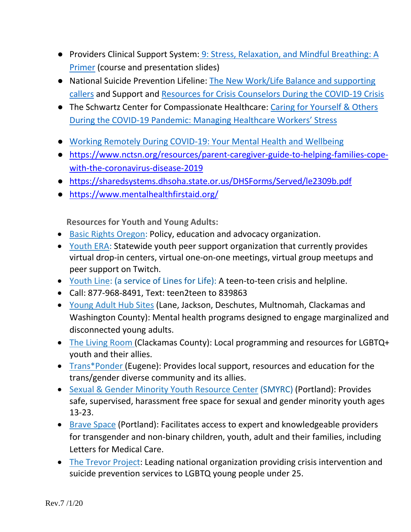- Providers Clinical Support System: 9: Stress, Relaxation, and Mindful Breathing: A [Primer](https://urldefense.proofpoint.com/v2/url?u=https-3A__pcssnow.org_education-2Dtraining_training-2Dcourses_9-2Dstress-2Drelaxation-2Dmindful-2Dbreathing-2Dprimer_&d=DwMGaQ&c=7gilq_oJKU2hnacFUWFTuYqjMQ111TRstgx6WoATdXo&r=87pDmk8FxN_alyz8CGZBdRfW-SLV0wN2jbe2r5bXGwLNDVSHaRpCJOyDrSmkUSgY&m=wxA166m4HAZ6DYC5hpJO4OFsHonhCm5S3yoagu8WyLs&s=kpKrSvb_gbwJbJzS5TnUI0ytoKuVLL9qIh_6udPBSh0&e=) (course and presentation slides)
- National Suicide Prevention Lifeline[:](https://urldefense.proofpoint.com/v2/url?u=https-3A__mcusercontent.com_7d39195cb11abdf2353c6dc11_files_a9785d7e-2D8c85-2D47bb-2D8196-2D2cdab5f08ea8_The-5FNew-5FWork-5FLife-5FBalance-5FWhen-5Fthe-5FOffice-5Fand-5FSchool-5FCome-5FHome.pdf&d=DwMGaQ&c=7gilq_oJKU2hnacFUWFTuYqjMQ111TRstgx6WoATdXo&r=87pDmk8FxN_alyz8CGZBdRfW-SLV0wN2jbe2r5bXGwLNDVSHaRpCJOyDrSmkUSgY&m=wxA166m4HAZ6DYC5hpJO4OFsHonhCm5S3yoagu8WyLs&s=wR-4tq__3sGAt5ibiqa6_N5L-vUN-0m3F02znoIL4SE&e=) The New Work/Life Balance and supporting [callers](https://urldefense.proofpoint.com/v2/url?u=https-3A__mcusercontent.com_7d39195cb11abdf2353c6dc11_files_a9785d7e-2D8c85-2D47bb-2D8196-2D2cdab5f08ea8_The-5FNew-5FWork-5FLife-5FBalance-5FWhen-5Fthe-5FOffice-5Fand-5FSchool-5FCome-5FHome.pdf&d=DwMGaQ&c=7gilq_oJKU2hnacFUWFTuYqjMQ111TRstgx6WoATdXo&r=87pDmk8FxN_alyz8CGZBdRfW-SLV0wN2jbe2r5bXGwLNDVSHaRpCJOyDrSmkUSgY&m=wxA166m4HAZ6DYC5hpJO4OFsHonhCm5S3yoagu8WyLs&s=wR-4tq__3sGAt5ibiqa6_N5L-vUN-0m3F02znoIL4SE&e=) and Support an[d](https://urldefense.proofpoint.com/v2/url?u=https-3A__mcusercontent.com_7d39195cb11abdf2353c6dc11_files_bcfd00e9-2D1ef2-2D4e18-2Db608-2Da3b5798d691b_Support-5Fand-5FResources-5Ffor-5FCrisis-5FCounselors-5FDuring-5Fthe-5FCOVID-5F19-5FCrisis.pdf&d=DwMGaQ&c=7gilq_oJKU2hnacFUWFTuYqjMQ111TRstgx6WoATdXo&r=87pDmk8FxN_alyz8CGZBdRfW-SLV0wN2jbe2r5bXGwLNDVSHaRpCJOyDrSmkUSgY&m=wxA166m4HAZ6DYC5hpJO4OFsHonhCm5S3yoagu8WyLs&s=eiiMsKwJjKFr6VysZbZJnly7QdkjH547A_4KsqJvmsg&e=) [Resources for Crisis Counselors During the COVID-19 Crisis](https://urldefense.proofpoint.com/v2/url?u=https-3A__mcusercontent.com_7d39195cb11abdf2353c6dc11_files_bcfd00e9-2D1ef2-2D4e18-2Db608-2Da3b5798d691b_Support-5Fand-5FResources-5Ffor-5FCrisis-5FCounselors-5FDuring-5Fthe-5FCOVID-5F19-5FCrisis.pdf&d=DwMGaQ&c=7gilq_oJKU2hnacFUWFTuYqjMQ111TRstgx6WoATdXo&r=87pDmk8FxN_alyz8CGZBdRfW-SLV0wN2jbe2r5bXGwLNDVSHaRpCJOyDrSmkUSgY&m=wxA166m4HAZ6DYC5hpJO4OFsHonhCm5S3yoagu8WyLs&s=eiiMsKwJjKFr6VysZbZJnly7QdkjH547A_4KsqJvmsg&e=)
- The Schwartz Center for Compassionate Healthcare[:](https://urldefense.proofpoint.com/v2/url?u=https-3A__www.theschwartzcenter.org_webinar_caring-2Dfor-2Dyourself-2Dothers-2Dduring-2Dthe-2Dcovid-2D19-2Dpandemic-2Dmanaging-2Dhealthcare-2Dworkers-2Dstress&d=DwMGaQ&c=7gilq_oJKU2hnacFUWFTuYqjMQ111TRstgx6WoATdXo&r=87pDmk8FxN_alyz8CGZBdRfW-SLV0wN2jbe2r5bXGwLNDVSHaRpCJOyDrSmkUSgY&m=wxA166m4HAZ6DYC5hpJO4OFsHonhCm5S3yoagu8WyLs&s=laQBndJYe_xpixIPkEUpAoUFyVs5KGagWy0JvzsK4dc&e=) Caring for Yourself & Others [During the COVID-19 Pandemic: Managing Healthcare Workers' Stress](https://urldefense.proofpoint.com/v2/url?u=https-3A__www.theschwartzcenter.org_webinar_caring-2Dfor-2Dyourself-2Dothers-2Dduring-2Dthe-2Dcovid-2D19-2Dpandemic-2Dmanaging-2Dhealthcare-2Dworkers-2Dstress&d=DwMGaQ&c=7gilq_oJKU2hnacFUWFTuYqjMQ111TRstgx6WoATdXo&r=87pDmk8FxN_alyz8CGZBdRfW-SLV0wN2jbe2r5bXGwLNDVSHaRpCJOyDrSmkUSgY&m=wxA166m4HAZ6DYC5hpJO4OFsHonhCm5S3yoagu8WyLs&s=laQBndJYe_xpixIPkEUpAoUFyVs5KGagWy0JvzsK4dc&e=)
- [Working Remotely During COVID-19: Your Mental Health and Wellbeing](https://urldefense.proofpoint.com/v2/url?u=http-3A__workplacementalhealth.org_Employer-2DResources_Working-2DRemotely-2DDuring-2DCOVID-2D19&d=DwMGaQ&c=7gilq_oJKU2hnacFUWFTuYqjMQ111TRstgx6WoATdXo&r=87pDmk8FxN_alyz8CGZBdRfW-SLV0wN2jbe2r5bXGwLNDVSHaRpCJOyDrSmkUSgY&m=wxA166m4HAZ6DYC5hpJO4OFsHonhCm5S3yoagu8WyLs&s=NvCRs3Q0UD7ArOquvG6KkOJ5DAGf277HO8fUSR_KjgU&e=)
- [https://www.nctsn.org/resources/parent-caregiver-guide-to-helping-families-cope](https://www.nctsn.org/resources/parent-caregiver-guide-to-helping-families-cope-with-the-coronavirus-disease-2019)[with-the-coronavirus-disease-2019](https://www.nctsn.org/resources/parent-caregiver-guide-to-helping-families-cope-with-the-coronavirus-disease-2019)
- <https://sharedsystems.dhsoha.state.or.us/DHSForms/Served/le2309b.pdf>
- <https://www.mentalhealthfirstaid.org/>

**Resources for Youth and Young Adults:**

- [Basic Rights](http://www.basicrights.org/) Oregon: Policy, education and advocacy organization.
- [Youth ERA:](https://www.youthera.org/) Statewide youth peer support organization that currently provides virtual drop-in centers, virtual one-on-one meetings, virtual group meetups and peer support on Twitch.
- [Youth Line:](https://oregonyouthline.org/) (a service of Lines for Life): A teen-to-teen crisis and helpline.
- Call: 877-968-8491, Text: teen2teen to 839863
- [Young Adult Hub Sites](https://www.oregon.gov/oha/HSD/BH-Child-Family/Pages/Youth.aspx) (Lane, Jackson, Deschutes, Multnomah, Clackamas and Washington County): Mental health programs designed to engage marginalized and disconnected young adults.
- [The Living Room \(](https://www.thelivingroomyouth.org/)Clackamas County): Local programming and resources for LGBTQ+ youth and their allies.
- [Trans\\*Ponder](https://transponder.community/) (Eugene): Provides local support, resources and education for the trans/gender diverse community and its allies.
- [Sexual & Gender Minority Youth Resource Center](http://www.smyrc.org/) (SMYRC) (Portland): Provides safe, supervised, harassment free space for sexual and gender minority youth ages 13-23.
- [Brave Space](https://www.bravespacellc.com/) (Portland): Facilitates access to expert and knowledgeable providers for transgender and non-binary children, youth, adult and their families, including Letters for Medical Care.
- [The Trevor Project:](https://www.thetrevorproject.org/) Leading national organization providing crisis intervention and suicide prevention services to LGBTQ young people under 25.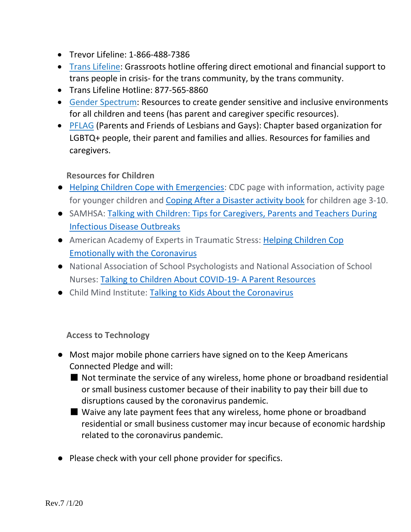- Trevor Lifeline: 1-866-488-7386
- [Trans Lifeline:](https://www.translifeline.org/) Grassroots hotline offering direct emotional and financial support to trans people in crisis- for the trans community, by the trans community.
- Trans Lifeline Hotline: 877-565-8860
- [Gender Spectrum:](https://www.genderspectrum.org/) Resources to create gender sensitive and inclusive environments for all children and teens (has parent and caregiver specific resources).
- [PFLAG](https://pflag.org/) (Parents and Friends of Lesbians and Gays): Chapter based organization for LGBTQ+ people, their parent and families and allies. Resources for families and caregivers.

**Resources for Children**

- [Helping Children Cope with Emergencies:](https://urldefense.proofpoint.com/v2/url?u=https-3A__www.cdc.gov_childrenindisasters_helping-2Dchildren-2Dcope.html&d=DwMGaQ&c=7gilq_oJKU2hnacFUWFTuYqjMQ111TRstgx6WoATdXo&r=87pDmk8FxN_alyz8CGZBdRfW-SLV0wN2jbe2r5bXGwLNDVSHaRpCJOyDrSmkUSgY&m=wxA166m4HAZ6DYC5hpJO4OFsHonhCm5S3yoagu8WyLs&s=x77DonEuPrJd_zjI-oDUBEtSWm2fEWPVWCqK9iJHw58&e=) CDC page with information, activity page for younger chil[d](https://urldefense.proofpoint.com/v2/url?u=https-3A__www.cdc.gov_cpr_readywrigley_documents_RW-5FCoping-5FAfter-5Fa-5FDisaster-5F508.pdf&d=DwMGaQ&c=7gilq_oJKU2hnacFUWFTuYqjMQ111TRstgx6WoATdXo&r=87pDmk8FxN_alyz8CGZBdRfW-SLV0wN2jbe2r5bXGwLNDVSHaRpCJOyDrSmkUSgY&m=wxA166m4HAZ6DYC5hpJO4OFsHonhCm5S3yoagu8WyLs&s=0QB9TsZ5xcoyoErh4LqBcdlRr3ekuuzJd5xGHCfoTkE&e=)ren and [Coping After a Disaster activity book](https://urldefense.proofpoint.com/v2/url?u=https-3A__www.cdc.gov_cpr_readywrigley_documents_RW-5FCoping-5FAfter-5Fa-5FDisaster-5F508.pdf&d=DwMGaQ&c=7gilq_oJKU2hnacFUWFTuYqjMQ111TRstgx6WoATdXo&r=87pDmk8FxN_alyz8CGZBdRfW-SLV0wN2jbe2r5bXGwLNDVSHaRpCJOyDrSmkUSgY&m=wxA166m4HAZ6DYC5hpJO4OFsHonhCm5S3yoagu8WyLs&s=0QB9TsZ5xcoyoErh4LqBcdlRr3ekuuzJd5xGHCfoTkE&e=) for children age 3-10.
- SAMHSA[:](https://urldefense.proofpoint.com/v2/url?u=https-3A__store.samhsa.gov_product_Talking-2DWith-2DChildren-2DTips-2Dfor-2DCaregivers-2DParents-2Dand-2DTeachers-2DDuring-2DInfectious-2DDisease-2DOutbreaks_PEP20-2D01-2D01-2D006&d=DwMGaQ&c=7gilq_oJKU2hnacFUWFTuYqjMQ111TRstgx6WoATdXo&r=87pDmk8FxN_alyz8CGZBdRfW-SLV0wN2jbe2r5bXGwLNDVSHaRpCJOyDrSmkUSgY&m=wxA166m4HAZ6DYC5hpJO4OFsHonhCm5S3yoagu8WyLs&s=UxAQj3ocZGkS2UbGIx64P7-FKSITfGcOVgTZi2_iw9E&e=) [Talking with Children: Tips for Caregivers, Parents and Teachers During](https://urldefense.proofpoint.com/v2/url?u=https-3A__store.samhsa.gov_product_Talking-2DWith-2DChildren-2DTips-2Dfor-2DCaregivers-2DParents-2Dand-2DTeachers-2DDuring-2DInfectious-2DDisease-2DOutbreaks_PEP20-2D01-2D01-2D006&d=DwMGaQ&c=7gilq_oJKU2hnacFUWFTuYqjMQ111TRstgx6WoATdXo&r=87pDmk8FxN_alyz8CGZBdRfW-SLV0wN2jbe2r5bXGwLNDVSHaRpCJOyDrSmkUSgY&m=wxA166m4HAZ6DYC5hpJO4OFsHonhCm5S3yoagu8WyLs&s=UxAQj3ocZGkS2UbGIx64P7-FKSITfGcOVgTZi2_iw9E&e=)  [Infectious Disease Outbreaks](https://urldefense.proofpoint.com/v2/url?u=https-3A__store.samhsa.gov_product_Talking-2DWith-2DChildren-2DTips-2Dfor-2DCaregivers-2DParents-2Dand-2DTeachers-2DDuring-2DInfectious-2DDisease-2DOutbreaks_PEP20-2D01-2D01-2D006&d=DwMGaQ&c=7gilq_oJKU2hnacFUWFTuYqjMQ111TRstgx6WoATdXo&r=87pDmk8FxN_alyz8CGZBdRfW-SLV0wN2jbe2r5bXGwLNDVSHaRpCJOyDrSmkUSgY&m=wxA166m4HAZ6DYC5hpJO4OFsHonhCm5S3yoagu8WyLs&s=UxAQj3ocZGkS2UbGIx64P7-FKSITfGcOVgTZi2_iw9E&e=)
- American Academy of Experts in Traumatic Stress[:](https://urldefense.proofpoint.com/v2/url?u=https-3A__www.aaets.org_helping-2Dchildren-2Dcope-2Demotionally-2Dwith-2Dcoronavirus-3Futm-5Fsource-3DWeekly-2BSpark-2B3-252F20-252F20-26utm-5Fcampaign-3DWeekly-2BSpark-2BMarch-2B20-252C-2B2020-26utm-5Fmedium-3Demail&d=DwMGaQ&c=7gilq_oJKU2hnacFUWFTuYqjMQ111TRstgx6WoATdXo&r=87pDmk8FxN_alyz8CGZBdRfW-SLV0wN2jbe2r5bXGwLNDVSHaRpCJOyDrSmkUSgY&m=wxA166m4HAZ6DYC5hpJO4OFsHonhCm5S3yoagu8WyLs&s=JezI4R-U56sLS-X2N71Fr7tp4_rf9Ql3BDc-8aoJj8M&e=) Helping Children Cop [Emotionally with the Coronavirus](https://urldefense.proofpoint.com/v2/url?u=https-3A__www.aaets.org_helping-2Dchildren-2Dcope-2Demotionally-2Dwith-2Dcoronavirus-3Futm-5Fsource-3DWeekly-2BSpark-2B3-252F20-252F20-26utm-5Fcampaign-3DWeekly-2BSpark-2BMarch-2B20-252C-2B2020-26utm-5Fmedium-3Demail&d=DwMGaQ&c=7gilq_oJKU2hnacFUWFTuYqjMQ111TRstgx6WoATdXo&r=87pDmk8FxN_alyz8CGZBdRfW-SLV0wN2jbe2r5bXGwLNDVSHaRpCJOyDrSmkUSgY&m=wxA166m4HAZ6DYC5hpJO4OFsHonhCm5S3yoagu8WyLs&s=JezI4R-U56sLS-X2N71Fr7tp4_rf9Ql3BDc-8aoJj8M&e=)
- National Association of School Psychologists and National Association of School Nurses[:](https://urldefense.proofpoint.com/v2/url?u=https-3A__higherlogicdownload.s3.amazonaws.com_NASN_3870c72d-2Dfff9-2D4ed7-2D833f-2D215de278d256_UploadedImages_PDFs_02292020-5FNASP-5FNASN-5FCOVID-2D19-5Fparent-5Fhandout.pdf&d=DwMGaQ&c=7gilq_oJKU2hnacFUWFTuYqjMQ111TRstgx6WoATdXo&r=87pDmk8FxN_alyz8CGZBdRfW-SLV0wN2jbe2r5bXGwLNDVSHaRpCJOyDrSmkUSgY&m=wxA166m4HAZ6DYC5hpJO4OFsHonhCm5S3yoagu8WyLs&s=GLWzfAToq5JxTSrE5uYbuHn_tk2bRM0mOa4p4DIJjyc&e=) [Talking to Children About COVID-19-](https://urldefense.proofpoint.com/v2/url?u=https-3A__higherlogicdownload.s3.amazonaws.com_NASN_3870c72d-2Dfff9-2D4ed7-2D833f-2D215de278d256_UploadedImages_PDFs_02292020-5FNASP-5FNASN-5FCOVID-2D19-5Fparent-5Fhandout.pdf&d=DwMGaQ&c=7gilq_oJKU2hnacFUWFTuYqjMQ111TRstgx6WoATdXo&r=87pDmk8FxN_alyz8CGZBdRfW-SLV0wN2jbe2r5bXGwLNDVSHaRpCJOyDrSmkUSgY&m=wxA166m4HAZ6DYC5hpJO4OFsHonhCm5S3yoagu8WyLs&s=GLWzfAToq5JxTSrE5uYbuHn_tk2bRM0mOa4p4DIJjyc&e=) A Parent Resources
- Child Mind Institute[:](https://urldefense.proofpoint.com/v2/url?u=https-3A__childmind.org_article_talking-2Dto-2Dkids-2Dabout-2Dthe-2Dcoronavirus_&d=DwMGaQ&c=7gilq_oJKU2hnacFUWFTuYqjMQ111TRstgx6WoATdXo&r=87pDmk8FxN_alyz8CGZBdRfW-SLV0wN2jbe2r5bXGwLNDVSHaRpCJOyDrSmkUSgY&m=wxA166m4HAZ6DYC5hpJO4OFsHonhCm5S3yoagu8WyLs&s=RFPoITIREOSyjCUqidDrSW7G0m36RhdQm-W8eSBvLeI&e=) [Talking to Kids About the Coronavirus](https://urldefense.proofpoint.com/v2/url?u=https-3A__childmind.org_article_talking-2Dto-2Dkids-2Dabout-2Dthe-2Dcoronavirus_&d=DwMGaQ&c=7gilq_oJKU2hnacFUWFTuYqjMQ111TRstgx6WoATdXo&r=87pDmk8FxN_alyz8CGZBdRfW-SLV0wN2jbe2r5bXGwLNDVSHaRpCJOyDrSmkUSgY&m=wxA166m4HAZ6DYC5hpJO4OFsHonhCm5S3yoagu8WyLs&s=RFPoITIREOSyjCUqidDrSW7G0m36RhdQm-W8eSBvLeI&e=)

**Access to Technology**

- Most major mobile phone carriers have signed on to the Keep Americans Connected Pledge and will:
	- Not terminate the service of any wireless, home phone or broadband residential or small business customer because of their inability to pay their bill due to disruptions caused by the coronavirus pandemic.
	- Waive any late payment fees that any wireless, home phone or broadband residential or small business customer may incur because of economic hardship related to the coronavirus pandemic.
- Please check with your cell phone provider for specifics.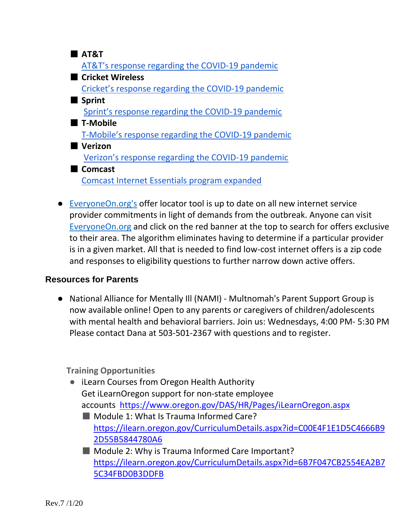- **AT&T** [AT&T's response regarding the COVID-19 pandemic](https://about.att.com/pages/COVID-19.html) ■ Cricket Wireless [Cricket's response regarding the COVID-19 pandemic](https://www.cricketwireless.com/support/fraud-and-safety/covid-19.html) ■ Sprint [Sprint's response regarding the COVID-19 pandemic](https://newsroom.sprint.com/covid-19-updates-sprint-responds.htm?INTCID=HPB:ALL:ALL:COVID19:NWS) ■ **T-Mobile** [T-Mobile's response regarding the COVID-19 pandemic](https://www.t-mobile.com/brand/ongoing-updates-covid-19) ■ **Verizon** [Verizon's response regarding the COVID-19 pandemic](https://www.verizon.com/about/news/our-response-coronavirus) ■ **Comcast** [Comcast Internet Essentials program expanded](https://www.portlandoregon.gov/oct/article/709742)
- [EveryoneOn.org's](https://www.everyoneon.org/) offer locator tool is up to date on all new internet service provider commitments in light of demands from the outbreak. Anyone can visi[t](https://www.everyoneon.org/) [EveryoneOn.org](https://www.everyoneon.org/) and click on the red banner at the top to search for offers exclusive to their area. The algorithm eliminates having to determine if a particular provider is in a given market. All that is needed to find low-cost internet offers is a zip code and responses to eligibility questions to further narrow down active offers.

#### **Resources for Parents**

● National Alliance for Mentally Ill (NAMI) - Multnomah's Parent Support Group is now available online! Open to any parents or caregivers of children/adolescents with mental health and behavioral barriers. Join us: Wednesdays, 4:00 PM- 5:30 PM Please contact Dana at 503-501-2367 with questions and to register.

**Training Opportunities** 

- iLearn Courses from Oregon Health Authority Get iLearnOregon support for non-state employee accounts <https://www.oregon.gov/DAS/HR/Pages/iLearnOregon.aspx>
	- Module 1: What Is Trauma Informed Care? [https://ilearn.oregon.gov/CurriculumDetails.aspx?id=C00E4F1E1D5C4666B9](https://ilearn.oregon.gov/CurriculumDetails.aspx?id=C00E4F1E1D5C4666B92D55B5844780A6) [2D55B5844780A6](https://ilearn.oregon.gov/CurriculumDetails.aspx?id=C00E4F1E1D5C4666B92D55B5844780A6)
	- Module 2: Why is Trauma Informed Care Important? [https://ilearn.oregon.gov/CurriculumDetails.aspx?id=6B7F047CB2554EA2B7](https://ilearn.oregon.gov/CurriculumDetails.aspx?id=6B7F047CB2554EA2B75C34FBD0B3DDFB) [5C34FBD0B3DDFB](https://ilearn.oregon.gov/CurriculumDetails.aspx?id=6B7F047CB2554EA2B75C34FBD0B3DDFB)